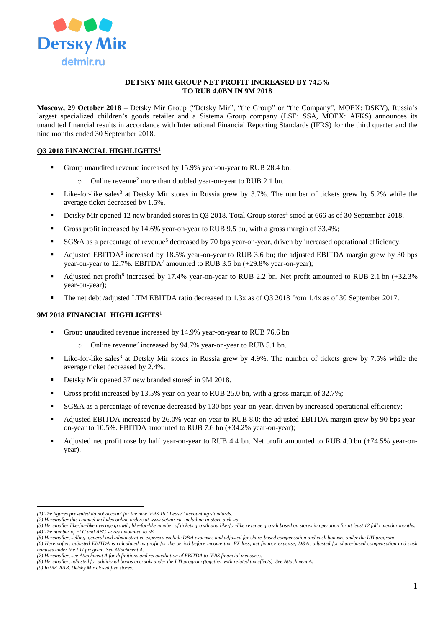

#### **DETSKY MIR GROUP NET PROFIT INCREASED BY 74.5% TO RUB 4.0BN IN 9M 2018**

**Moscow, 29 October 2018 –** Detsky Mir Group ("Detsky Mir", "the Group" or "the Company", MOEX: DSKY), Russia's largest specialized children's goods retailer and a Sistema Group company (LSE: SSA, MOEX: AFKS) announces its unaudited financial results in accordance with International Financial Reporting Standards (IFRS) for the third quarter and the nine months ended 30 September 2018.

## **Q3 2018 FINANCIAL HIGHLIGHTS<sup>1</sup>**

- Group unaudited revenue increased by 15.9% year-on-year to RUB 28.4 bn.
	- o Online revenue<sup>2</sup> more than doubled year-on-year to RUB 2.1 bn.
- **Example 1** Like-for-like sales<sup>3</sup> at Detsky Mir stores in Russia grew by 3.7%. The number of tickets grew by 5.2% while the average ticket decreased by 1.5%.
- Detsky Mir opened 12 new branded stores in Q3 2018. Total Group stores<sup>4</sup> stood at 666 as of 30 September 2018.
- Gross profit increased by 14.6% year-on-year to RUB 9.5 bn, with a gross margin of 33.4%;
- SG&A as a percentage of revenue<sup>5</sup> decreased by 70 bps year-on-year, driven by increased operational efficiency;
- Adjusted EBITDA<sup>6</sup> increased by 18.5% year-on-year to RUB 3.6 bn; the adjusted EBITDA margin grew by 30 bps year-on-year to 12.7%.  $EBITDA<sup>7</sup>$  amounted to RUB 3.5 bn (+29.8% year-on-year);
- Adjusted net profit<sup>8</sup> increased by 17.4% year-on-year to RUB 2.2 bn. Net profit amounted to RUB 2.1 bn  $(+32.3\%)$ year-on-year);
- The net debt /adjusted LTM EBITDA ratio decreased to 1.3x as of Q3 2018 from 1.4x as of 30 September 2017.

### **9M 2018 FINANCIAL HIGHLIGHTS**<sup>1</sup>

- Group unaudited revenue increased by 14.9% year-on-year to RUB 76.6 bn
	- o Online revenue<sup>2</sup> increased by 94.7% year-on-year to RUB 5.1 bn.
- Like-for-like sales<sup>3</sup> at Detsky Mir stores in Russia grew by 4.9%. The number of tickets grew by 7.5% while the average ticket decreased by 2.4%.
- Detsky Mir opened 37 new branded stores<sup>9</sup> in 9M 2018.
- Gross profit increased by 13.5% year-on-year to RUB 25.0 bn, with a gross margin of 32.7%;
- SG&A as a percentage of revenue decreased by 130 bps year-on-year, driven by increased operational efficiency;
- Adjusted EBITDA increased by 26.0% year-on-year to RUB 8.0; the adjusted EBITDA margin grew by 90 bps yearon-year to 10.5%. EBITDA amounted to RUB 7.6 bn (+34.2% year-on-year);
- Adjusted net profit rose by half year-on-year to RUB 4.4 bn. Net profit amounted to RUB 4.0 bn (+74.5% year-onyear).

*(4) The number of ELC and ABC stores amounted to 56.* 

 $\overline{a}$ 

*<sup>(1)</sup> The figures presented do not account for the new IFRS 16 "Lease" accounting standards.*

*<sup>(2)</sup> Hereinafter this channel includes online orders at [www.detmir.ru,](http://www.detmir.ru/) including in-store pick-up.*

*<sup>(3)</sup> Hereinafter like-for-like average growth, like-for-like number of tickets growth and like-for-like revenue growth based on stores in operation for at least 12 full calendar months.*

*<sup>(5)</sup> Hereinafter, selling, general and administrative expenses exclude D&A expenses and adjusted for share-based compensation and cash bonuses under the LTI program*

*<sup>(6)</sup> Hereinafter, adjusted EBITDA is calculated as profit for the period before income tax, FX loss, net finance expense, D&A; adjusted for share-based compensation and cash bonuses under the LTI program. See Attachment A.*

*<sup>(7)</sup> Hereinafter, see Attachment A for definitions and reconciliation of EBITDA to IFRS financial measures.*

*<sup>(8)</sup> Hereinafter, adjusted for additional bonus accruals under the LTI program (together with related tax effects). See Attachment A.*

*<sup>(9)</sup> In 9M 2018, Detsky Mir closed five stores.*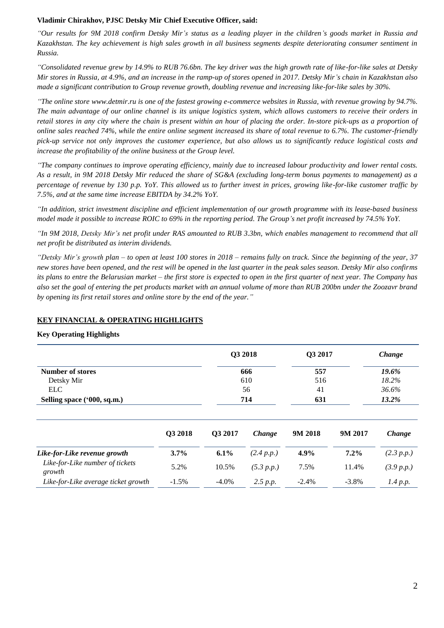### **Vladimir Chirakhov, PJSC Detsky Mir Chief Executive Officer, said:**

*"Our results for 9M 2018 confirm Detsky Mir's status as a leading player in the children's goods market in Russia and Kazakhstan. The key achievement is high sales growth in all business segments despite deteriorating consumer sentiment in Russia.* 

*"Consolidated revenue grew by 14.9% to RUB 76.6bn. The key driver was the high growth rate of like-for-like sales at Detsky Mir stores in Russia, at 4.9%, and an increase in the ramp-up of stores opened in 2017. Detsky Mir's chain in Kazakhstan also made a significant contribution to Group revenue growth, doubling revenue and increasing like-for-like sales by 30%.* 

*"The online store www.detmir.ru is one of the fastest growing e-commerce websites in Russia, with revenue growing by 94.7%. The main advantage of our online channel is its unique logistics system, which allows customers to receive their orders in retail stores in any city where the chain is present within an hour of placing the order. In-store pick-ups as a proportion of online sales reached 74%, while the entire online segment increased its share of total revenue to 6.7%. The customer-friendly pick-up service not only improves the customer experience, but also allows us to significantly reduce logistical costs and increase the profitability of the online business at the Group level.*

*"The company continues to improve operating efficiency, mainly due to increased labour productivity and lower rental costs. As a result, in 9M 2018 Detsky Mir reduced the share of SG&A (excluding long-term bonus payments to management) as a percentage of revenue by 130 p.p. YoY. This allowed us to further invest in prices, growing like-for-like customer traffic by 7.5%, and at the same time increase EBITDA by 34.2% YoY.* 

*"In addition, strict investment discipline and efficient implementation of our growth programme with its lease-based business model made it possible to increase ROIC to 69% in the reporting period. The Group's net profit increased by 74.5% YoY.* 

*"In 9M 2018, Detsky Mir's net profit under RAS amounted to RUB 3.3bn, which enables management to recommend that all net profit be distributed as interim dividends.* 

*"Detsky Mir's growth plan – to open at least 100 stores in 2018 – remains fully on track. Since the beginning of the year, 37 new stores have been opened, and the rest will be opened in the last quarter in the peak sales season. Detsky Mir also confirms its plans to entre the Belarusian market – the first store is expected to open in the first quarter of next year. The Company has also set the goal of entering the pet products market with an annual volume of more than RUB 200bn under the Zoozavr brand by opening its first retail stores and online store by the end of the year."*

## **KEY FINANCIAL & OPERATING HIGHLIGHTS**

**Key Operating Highlights** 

|                             | Q3 2018 | Q3 2017 | Change |
|-----------------------------|---------|---------|--------|
| <b>Number of stores</b>     | 666     | 557     | 19.6%  |
| Detsky Mir                  | 610     | 516     | 18.2%  |
| ELC.                        | 56      | 41      | 36.6%  |
| Selling space ('000, sq.m.) | 714     | 631     | 13.2%  |

|                                           | Q3 2018  | O <sub>3</sub> 2017 | <i>Change</i> | 9M 2018  | 9M 2017  | <i>Change</i> |
|-------------------------------------------|----------|---------------------|---------------|----------|----------|---------------|
| Like-for-Like revenue growth              | $3.7\%$  | $6.1\%$             | (2.4 p.p.)    | $4.9\%$  | $7.2\%$  | (2.3 p.p.)    |
| Like-for-Like number of tickets<br>growth | 5.2%     | 10.5%               | (5.3 p.p.)    | 7.5%     | 11.4%    | (3.9 p.p.)    |
| Like-for-Like average ticket growth       | $-1.5\%$ | $-4.0\%$            | 2.5 p.p.      | $-2.4\%$ | $-3.8\%$ | 1.4 p.p.      |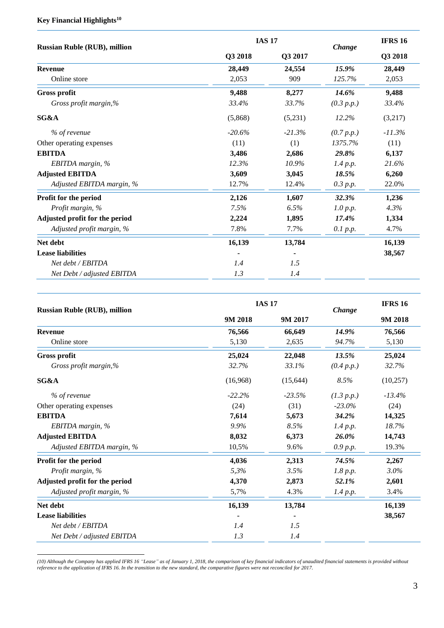# **Key Financial Highlights<sup>10</sup>**

 $\overline{a}$ 

| <b>Russian Ruble (RUB), million</b> |          | <b>IAS 17</b> |            |           |
|-------------------------------------|----------|---------------|------------|-----------|
|                                     | Q3 2018  | Q3 2017       | Change     | Q3 2018   |
| <b>Revenue</b>                      | 28,449   | 24,554        | 15.9%      | 28,449    |
| Online store                        | 2,053    | 909           | 125.7%     | 2,053     |
| <b>Gross profit</b>                 | 9,488    | 8,277         | 14.6%      | 9,488     |
| Gross profit margin,%               | 33.4%    | 33.7%         | (0.3 p.p.) | 33.4%     |
| SG&A                                | (5,868)  | (5,231)       | 12.2%      | (3,217)   |
| % of revenue                        | $-20.6%$ | $-21.3%$      | (0.7 p.p.) | $-11.3\%$ |
| Other operating expenses            | (11)     | (1)           | 1375.7%    | (11)      |
| <b>EBITDA</b>                       | 3.486    | 2,686         | 29.8%      | 6,137     |
| EBITDA margin, %                    | 12.3%    | 10.9%         | 1.4 p.p.   | 21.6%     |
| <b>Adjusted EBITDA</b>              | 3,609    | 3,045         | 18.5%      | 6.260     |
| Adjusted EBITDA margin, %           | 12.7%    | 12.4%         | 0.3 p.p.   | 22.0%     |
| Profit for the period               | 2,126    | 1,607         | 32.3%      | 1,236     |
| Profit margin, %                    | 7.5%     | 6.5%          | 1.0 p.p.   | 4.3%      |
| Adjusted profit for the period      | 2,224    | 1,895         | 17.4%      | 1,334     |
| Adjusted profit margin, %           | 7.8%     | 7.7%          | 0.1 p.p.   | 4.7%      |
| Net debt                            | 16,139   | 13,784        |            | 16,139    |
| <b>Lease liabilities</b>            |          |               |            | 38,567    |
| Net debt / EBITDA                   | 1.4      | 1.5           |            |           |
| Net Debt / adjusted EBITDA          | 1.3      | 1.4           |            |           |
|                                     |          |               |            |           |

| <b>Russian Ruble (RUB), million</b> |          | <b>IAS 17</b> | Change     | <b>IFRS 16</b><br>9M 2018 |  |
|-------------------------------------|----------|---------------|------------|---------------------------|--|
|                                     | 9M 2018  | 9M 2017       |            |                           |  |
| <b>Revenue</b>                      | 76,566   | 66,649        | 14.9%      | 76,566                    |  |
| Online store                        | 5,130    | 2,635         | 94.7%      | 5,130                     |  |
| <b>Gross profit</b>                 | 25,024   | 22,048        | 13.5%      | 25,024                    |  |
| Gross profit margin,%               | 32.7%    | 33.1%         | (0.4 p.p.) | 32.7%                     |  |
| SG&A                                | (16,968) | (15, 644)     | 8.5%       | (10, 257)                 |  |
| % of revenue                        | $-22.2%$ | $-23.5%$      | (1.3 p.p.) | $-13.4\%$                 |  |
| Other operating expenses            | (24)     | (31)          | $-23.0\%$  | (24)                      |  |
| <b>EBITDA</b>                       | 7,614    | 5,673         | 34.2%      | 14,325                    |  |
| EBITDA margin, %                    | 9.9%     | 8.5%          | 1.4 p.p.   | 18.7%                     |  |
| <b>Adjusted EBITDA</b>              | 8,032    | 6,373         | 26.0%      | 14,743                    |  |
| Adjusted EBITDA margin, %           | 10.5%    | 9.6%          | 0.9 p.p.   | 19.3%                     |  |
| Profit for the period               | 4,036    | 2,313         | 74.5%      | 2,267                     |  |
| Profit margin, %                    | 5,3%     | 3.5%          | 1.8 p.p.   | 3.0%                      |  |
| Adjusted profit for the period      | 4,370    | 2,873         | 52.1%      | 2,601                     |  |
| Adjusted profit margin, %           | 5,7%     | 4.3%          | 1.4 p.p.   | 3.4%                      |  |
| Net debt                            | 16,139   | 13,784        |            | 16,139                    |  |
| <b>Lease liabilities</b>            |          |               |            | 38,567                    |  |
| Net debt / EBITDA                   | 1.4      | 1.5           |            |                           |  |
| Net Debt / adjusted EBITDA          | 1.3      | 1.4           |            |                           |  |

*(10) Although the Company has applied IFRS 16 "Lease" as of January 1, 2018, the comparison of key financial indicators of unaudited financial statements is provided without reference to the application of IFRS 16. In the transition to the new standard, the comparative figures were not reconciled for 2017.*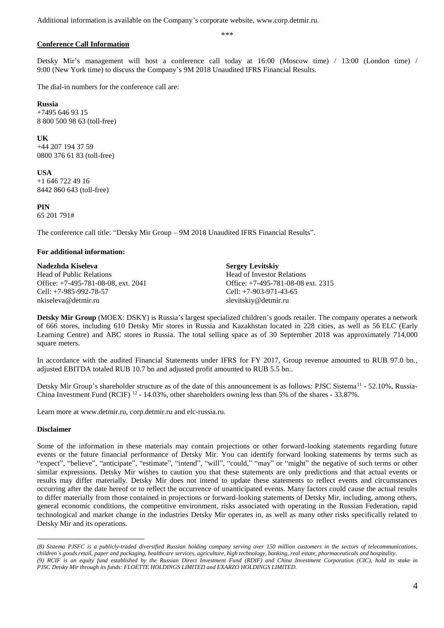Additional information is available on the Company's corporate website, www.corp.detmir.ru.

\*\*\*

# **Conference Call Information**

Detsky Mir's management will host a conference call today at 16:00 (Moscow time) / 13:00 (London time) / 9:00 (New York time) to discuss the Company's 9M 2018 Unaudited IFRS Financial Results.

The dial-in numbers for the conference call are:

**Russia**  +7495 646 93 15 8 800 500 98 63 (toll-free)

**UK**

+44 207 194 37 59 0800 376 61 83 (toll-free)

**USA** +1 646 722 49 16 8442 860 643 (toll-free)

**PIN** 65 201 791#

The conference call title: "Detsky Mir Group – 9M 2018 Unaudited IFRS Financial Results".

### **For additional information:**

**Nadezhda Kiseleva** Head of Public Relations Office: +7-495-781-08-08, ext. 2041 Cell: +7-985-992-78-57 nkiseleva@detmir.ru

**Sergey Levitskiy** Head of Investor Relations Office: +7-495-781-08-08 ext. 2315 Cell: +7-903-971-43-65 slevitskiy@detmir.ru

**Detsky Mir Group** (MOEX: DSKY) is Russia's largest specialized children's goods retailer. The company operates a network of 666 stores, including 610 Detsky Mir stores in Russia and Kazakhstan located in 228 cities, as well as 56 ELC (Early Learning Centre) and ABC stores in Russia. The total selling space as of 30 September 2018 was approximately 714,000 square meters.

In accordance with the audited Financial Statements under IFRS for FY 2017, Group revenue amounted to RUB 97.0 bn., adjusted EBITDA totaled RUB 10.7 bn and adjusted profit amounted to RUB 5.5 bn..

Detsky Mir Group's shareholder structure as of the date of this announcement is as follows: PJSC Sistema<sup>11</sup> - 52.10%, Russia-China Investment Fund (RCIF)  $^{12}$  - 14.03%, other shareholders owning less than 5% of the shares - 33.87%.

Learn more at www.detmir.ru, corp.detmir.ru and elc-russia.ru.

### **Disclaimer**

 $\overline{a}$ 

Some of the information in these materials may contain projections or other forward-looking statements regarding future events or the future financial performance of Detsky Mir. You can identify forward looking statements by terms such as "expect", "believe", "anticipate", "estimate", "intend", "will", "could," "may" or "might" the negative of such terms or other similar expressions. Detsky Mir wishes to caution you that these statements are only predictions and that actual events or results may differ materially. Detsky Mir does not intend to update these statements to reflect events and circumstances occurring after the date hereof or to reflect the occurrence of unanticipated events. Many factors could cause the actual results to differ materially from those contained in projections or forward-looking statements of Detsky Mir, including, among others, general economic conditions, the competitive environment, risks associated with operating in the Russian Federation, rapid technological and market change in the industries Detsky Mir operates in, as well as many other risks specifically related to Detsky Mir and its operations.

*<sup>(8)</sup> Sistema PJSFC is a publicly-traded diversified Russian holding company serving over 150 million customers in the sectors of telecommunications, children's goods retail, paper and packaging, healthcare services, agriculture, high technology, banking, real estate, pharmaceuticals and hospitality. (9) RCIF is an equity fund established by the Russian Direct Investment Fund (RDIF) and China Investment Corporation (CIC), hold its stake in PJSC Detsky Mir through its funds: FLOETTE HOLDINGS LIMITED and EXARZO HOLDINGS LIMITED.*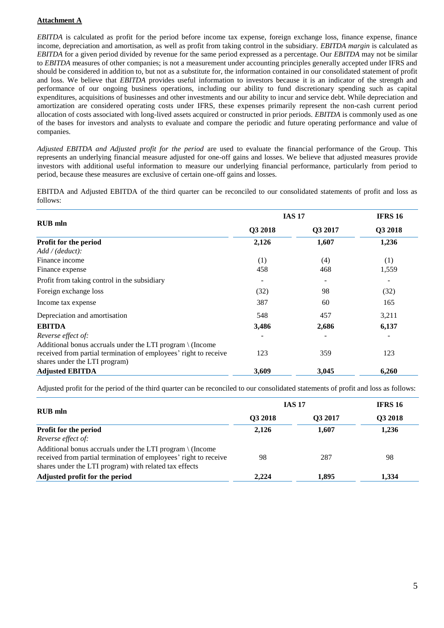## **Attachment A**

*EBITDA* is calculated as profit for the period before income tax expense, foreign exchange loss, finance expense, finance income, depreciation and amortisation, as well as profit from taking control in the subsidiary. *EBITDA margin* is calculated as *EBITDA* for a given period divided by revenue for the same period expressed as a percentage. Our *EBITDA* may not be similar to *EBITDA* measures of other companies; is not a measurement under accounting principles generally accepted under IFRS and should be considered in addition to, but not as a substitute for, the information contained in our consolidated statement of profit and loss. We believe that *EBITDA* provides useful information to investors because it is an indicator of the strength and performance of our ongoing business operations, including our ability to fund discretionary spending such as capital expenditures, acquisitions of businesses and other investments and our ability to incur and service debt. While depreciation and amortization are considered operating costs under IFRS, these expenses primarily represent the non-cash current period allocation of costs associated with long-lived assets acquired or constructed in prior periods. *EBITDA* is commonly used as one of the bases for investors and analysts to evaluate and compare the periodic and future operating performance and value of companies.

*Adjusted EBITDA and Adjusted profit for the period* are used to evaluate the financial performance of the Group. This represents an underlying financial measure adjusted for one-off gains and losses. We believe that adjusted measures provide investors with additional useful information to measure our underlying financial performance, particularly from period to period, because these measures are exclusive of certain one-off gains and losses.

EBITDA and Adjusted EBITDA of the third quarter can be reconciled to our consolidated statements of profit and loss as follows:

|                                                                     | <b>IAS 17</b> | <b>IFRS 16</b> |                          |
|---------------------------------------------------------------------|---------------|----------------|--------------------------|
| <b>RUB</b> mln                                                      | Q3 2018       | Q3 2017        | Q3 2018                  |
| Profit for the period                                               | 2,126         | 1,607          | 1,236                    |
| Add / (deduct):                                                     |               |                |                          |
| Finance income                                                      | (1)           | (4)            | (1)                      |
| Finance expense                                                     | 458           | 468            | 1,559                    |
| Profit from taking control in the subsidiary                        | -             | -              | $\overline{\phantom{a}}$ |
| Foreign exchange loss                                               | (32)          | 98             | (32)                     |
| Income tax expense                                                  | 387           | 60             | 165                      |
| Depreciation and amortisation                                       | 548           | 457            | 3,211                    |
| <b>EBITDA</b>                                                       | 3,486         | 2,686          | 6,137                    |
| Reverse effect of:                                                  |               |                |                          |
| Additional bonus accruals under the LTI program $\setminus$ (Income |               |                |                          |
| received from partial termination of employees' right to receive    | 123           | 359            | 123                      |
| shares under the LTI program)                                       |               |                |                          |
| <b>Adjusted EBITDA</b>                                              | 3,609         | 3,045          | 6,260                    |

Adjusted profit for the period of the third quarter can be reconciled to our consolidated statements of profit and loss as follows:

|                                                                                                                                                                                                   | <b>IAS 17</b> | <b>IFRS 16</b> |         |
|---------------------------------------------------------------------------------------------------------------------------------------------------------------------------------------------------|---------------|----------------|---------|
| RUB mln                                                                                                                                                                                           | Q3 2018       | <b>O3 2017</b> | Q3 2018 |
| Profit for the period                                                                                                                                                                             | 2,126         | 1,607          | 1,236   |
| Reverse effect of:                                                                                                                                                                                |               |                |         |
| Additional bonus accruals under the LTI program $\setminus$ (Income<br>received from partial termination of employees' right to receive<br>shares under the LTI program) with related tax effects | 98            | 287            | 98      |
| Adjusted profit for the period                                                                                                                                                                    | 2,224         | 1.895          | 1,334   |